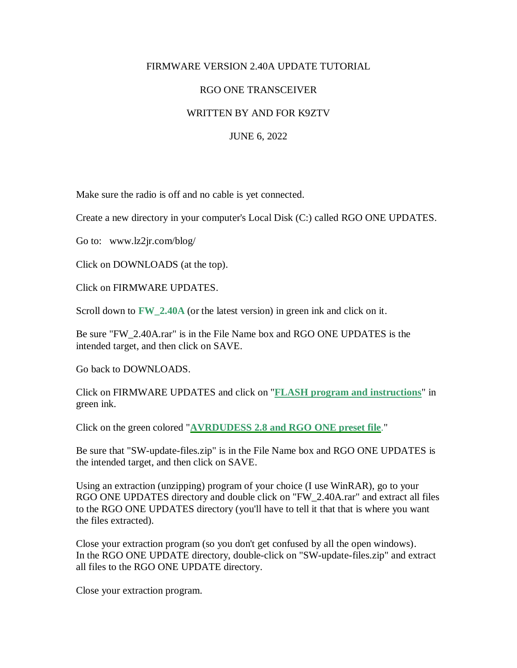## FIRMWARE VERSION 2.40A UPDATE TUTORIAL

## RGO ONE TRANSCEIVER

## WRITTEN BY AND FOR K9ZTV

## JUNE 6, 2022

Make sure the radio is off and no cable is yet connected.

Create a new directory in your computer's Local Disk (C:) called RGO ONE UPDATES.

Go to: www.lz2jr.com/blog/

Click on DOWNLOADS (at the top).

Click on FIRMWARE UPDATES.

Scroll down to **FW** 2.40A (or the latest version) in green ink and click on it.

Be sure "FW\_2.40A.rar" is in the File Name box and RGO ONE UPDATES is the intended target, and then click on SAVE.

Go back to DOWNLOADS.

Click on FIRMWARE UPDATES and click on "**FLASH program and instructions**" in green ink.

Click on the green colored "**[AVRDUDESS 2.8 and RGO ONE preset file](https://lz2jr.com/blog/wp-content/uploads/2019/06/SW-update-files.zip)**."

Be sure that "SW-update-files.zip" is in the File Name box and RGO ONE UPDATES is the intended target, and then click on SAVE.

Using an extraction (unzipping) program of your choice (I use WinRAR), go to your RGO ONE UPDATES directory and double click on "FW\_2.40A.rar" and extract all files to the RGO ONE UPDATES directory (you'll have to tell it that that is where you want the files extracted).

Close your extraction program (so you don't get confused by all the open windows). In the RGO ONE UPDATE directory, double-click on "SW-update-files.zip" and extract all files to the RGO ONE UPDATE directory.

Close your extraction program.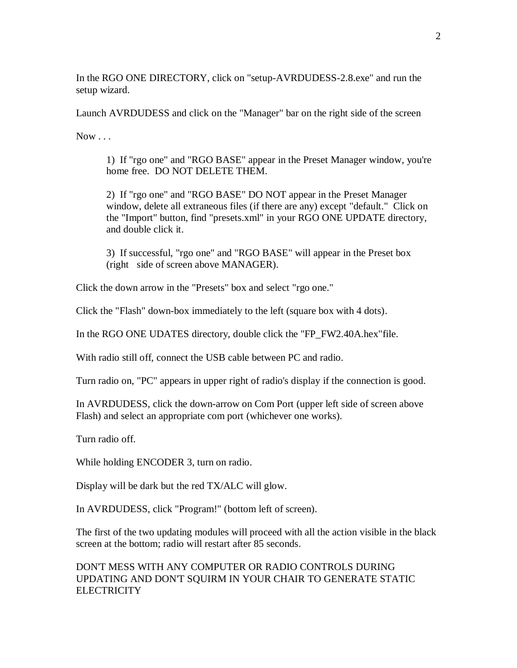In the RGO ONE DIRECTORY, click on "setup-AVRDUDESS-2.8.exe" and run the setup wizard.

Launch AVRDUDESS and click on the "Manager" bar on the right side of the screen

 $Now \dots$ 

1) If "rgo one" and "RGO BASE" appear in the Preset Manager window, you're home free. DO NOT DELETE THEM.

2) If "rgo one" and "RGO BASE" DO NOT appear in the Preset Manager window, delete all extraneous files (if there are any) except "default." Click on the "Import" button, find "presets.xml" in your RGO ONE UPDATE directory, and double click it.

3) If successful, "rgo one" and "RGO BASE" will appear in the Preset box (right side of screen above MANAGER).

Click the down arrow in the "Presets" box and select "rgo one."

Click the "Flash" down-box immediately to the left (square box with 4 dots).

In the RGO ONE UDATES directory, double click the "FP\_FW2.40A.hex"file.

With radio still off, connect the USB cable between PC and radio.

Turn radio on, "PC" appears in upper right of radio's display if the connection is good.

In AVRDUDESS, click the down-arrow on Com Port (upper left side of screen above Flash) and select an appropriate com port (whichever one works).

Turn radio off.

While holding ENCODER 3, turn on radio.

Display will be dark but the red TX/ALC will glow.

In AVRDUDESS, click "Program!" (bottom left of screen).

The first of the two updating modules will proceed with all the action visible in the black screen at the bottom; radio will restart after 85 seconds.

DON'T MESS WITH ANY COMPUTER OR RADIO CONTROLS DURING UPDATING AND DON'T SQUIRM IN YOUR CHAIR TO GENERATE STATIC **ELECTRICITY**